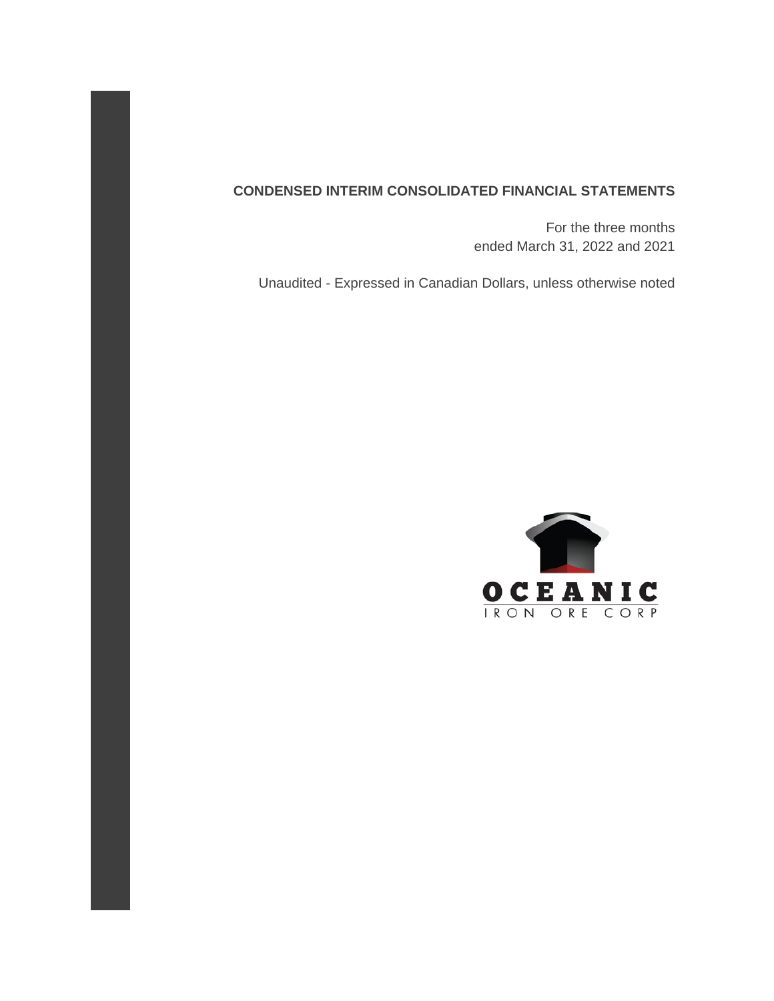### **CONDENSED INTERIM CONSOLIDATED FINANCIAL STATEMENTS**

 For the three months ended March 31, 2022 and 2021

Unaudited - Expressed in Canadian Dollars, unless otherwise noted

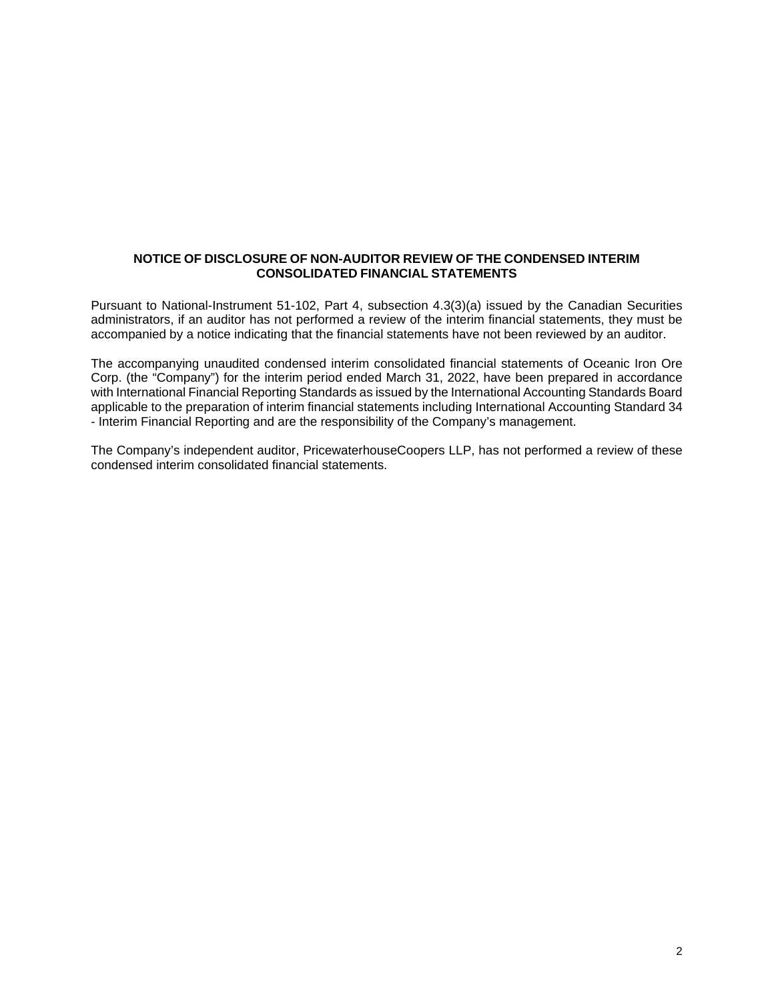### **NOTICE OF DISCLOSURE OF NON-AUDITOR REVIEW OF THE CONDENSED INTERIM CONSOLIDATED FINANCIAL STATEMENTS**

Pursuant to National-Instrument 51-102, Part 4, subsection 4.3(3)(a) issued by the Canadian Securities administrators, if an auditor has not performed a review of the interim financial statements, they must be accompanied by a notice indicating that the financial statements have not been reviewed by an auditor.

The accompanying unaudited condensed interim consolidated financial statements of Oceanic Iron Ore Corp. (the "Company") for the interim period ended March 31, 2022, have been prepared in accordance with International Financial Reporting Standards as issued by the International Accounting Standards Board applicable to the preparation of interim financial statements including International Accounting Standard 34 - Interim Financial Reporting and are the responsibility of the Company's management.

The Company's independent auditor, PricewaterhouseCoopers LLP, has not performed a review of these condensed interim consolidated financial statements.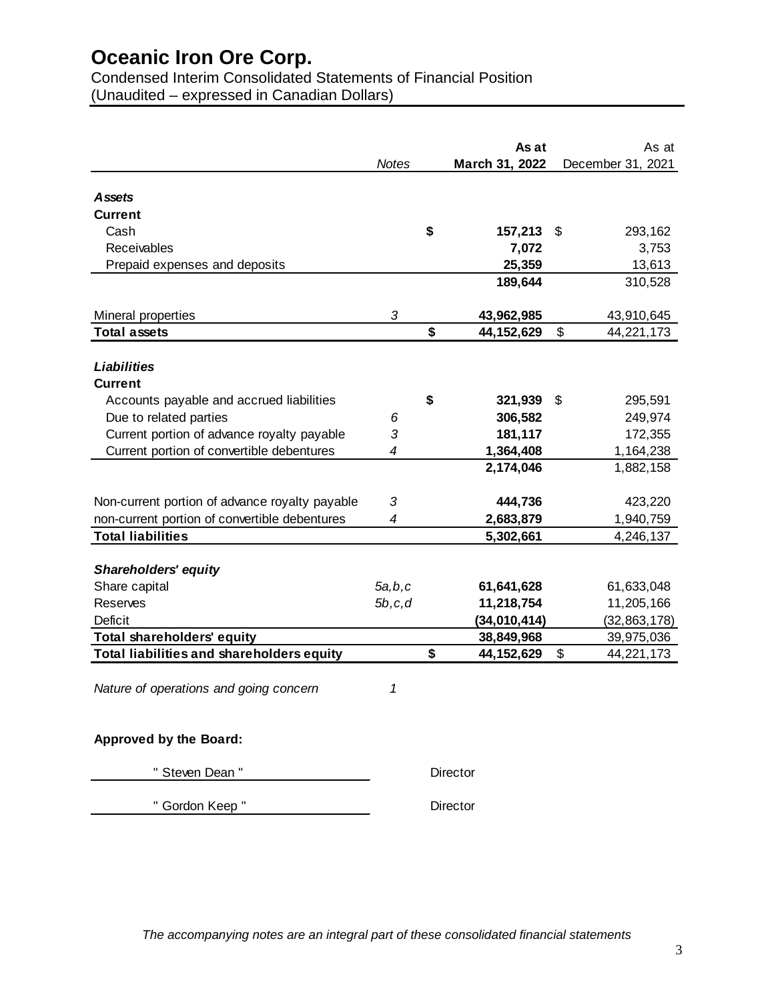Condensed Interim Consolidated Statements of Financial Position (Unaudited – expressed in Canadian Dollars)

|                                                |          | As at              | As at                        |
|------------------------------------------------|----------|--------------------|------------------------------|
|                                                | Notes    | March 31, 2022     | December 31, 2021            |
| <b>Assets</b>                                  |          |                    |                              |
| Current                                        |          |                    |                              |
| Cash                                           |          | \$<br>157,213      | 293,162<br>S.                |
| Receivables                                    |          | 7,072              | 3,753                        |
| Prepaid expenses and deposits                  |          | 25,359             | 13,613                       |
|                                                |          | 189,644            | 310,528                      |
|                                                |          |                    |                              |
| Mineral properties                             | 3        | 43,962,985         | 43,910,645                   |
| <b>Total assets</b>                            |          | \$<br>44, 152, 629 | $\mathfrak{S}$<br>44,221,173 |
|                                                |          |                    |                              |
| Liabilities                                    |          |                    |                              |
| <b>Current</b>                                 |          |                    |                              |
| Accounts payable and accrued liabilities       |          | \$<br>321,939      | 295,591<br>\$                |
| Due to related parties                         | 6        | 306,582            | 249,974                      |
| Current portion of advance royalty payable     | 3        | 181,117            | 172,355                      |
| Current portion of convertible debentures      | 4        | 1,364,408          | 1,164,238                    |
|                                                |          | 2,174,046          | 1,882,158                    |
|                                                |          |                    |                              |
| Non-current portion of advance royalty payable | 3        | 444,736            | 423,220                      |
| non-current portion of convertible debentures  | 4        | 2,683,879          | 1,940,759                    |
| <b>Total liabilities</b>                       |          | 5,302,661          | 4,246,137                    |
|                                                |          |                    |                              |
| <b>Shareholders' equity</b>                    |          |                    |                              |
| Share capital                                  | 5a,b,c   | 61,641,628         | 61,633,048                   |
| Reserves                                       | 5b, c, d | 11,218,754         | 11,205,166                   |
| Deficit                                        |          | (34,010,414)       | (32, 863, 178)               |
| <b>Total shareholders' equity</b>              |          | 38,849,968         | 39,975,036                   |
| Total liabilities and shareholders equity      |          | \$<br>44, 152, 629 | 44,221,173<br>\$             |
|                                                |          |                    |                              |
| Nature of operations and going concern         | 1        |                    |                              |
|                                                |          |                    |                              |
|                                                |          |                    |                              |
| Approved by the Board:                         |          |                    |                              |
|                                                |          |                    |                              |
| " Steven Dean "                                |          | Director           |                              |
|                                                |          |                    |                              |

" Gordon Keep " Director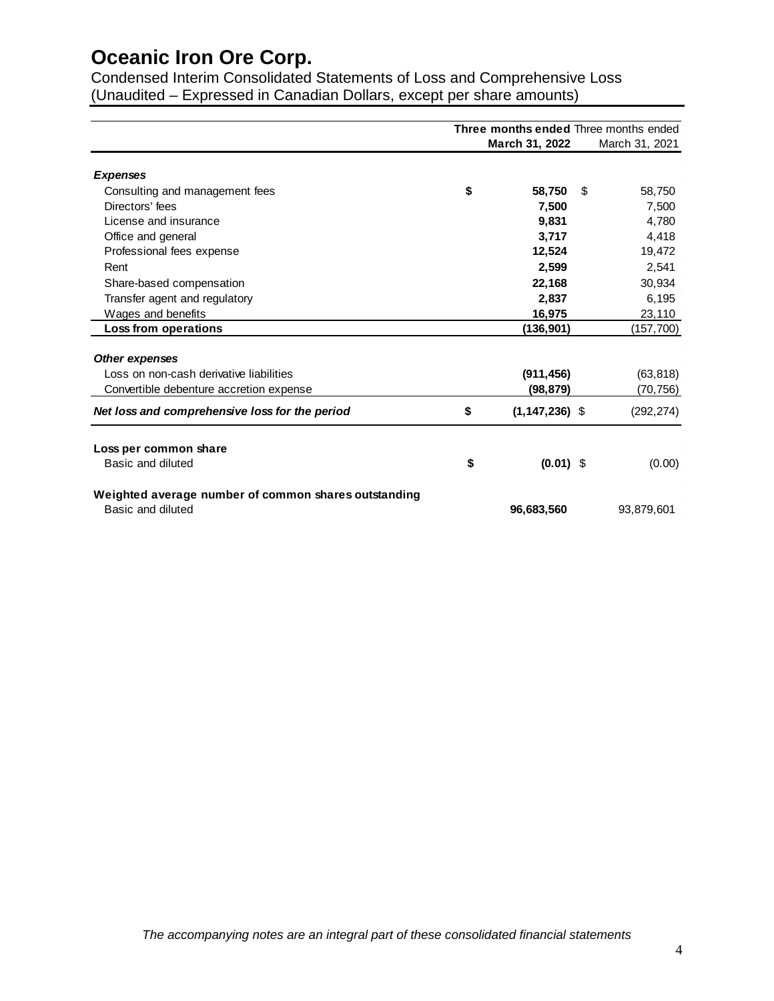Condensed Interim Consolidated Statements of Loss and Comprehensive Loss (Unaudited – Expressed in Canadian Dollars, except per share amounts)

|                                                                           | Three months ended Three months ended |                    |    |                |
|---------------------------------------------------------------------------|---------------------------------------|--------------------|----|----------------|
|                                                                           |                                       | March 31, 2022     |    | March 31, 2021 |
| <b>Expenses</b>                                                           |                                       |                    |    |                |
| Consulting and management fees                                            | \$                                    | 58,750             | \$ | 58,750         |
| Directors' fees                                                           |                                       | 7,500              |    | 7,500          |
| License and insurance                                                     |                                       | 9,831              |    | 4,780          |
| Office and general                                                        |                                       | 3,717              |    | 4,418          |
| Professional fees expense                                                 |                                       | 12,524             |    | 19,472         |
| Rent                                                                      |                                       | 2.599              |    | 2,541          |
| Share-based compensation                                                  |                                       | 22,168             |    | 30,934         |
| Transfer agent and regulatory                                             |                                       | 2,837              |    | 6,195          |
| Wages and benefits                                                        |                                       | 16,975             |    | 23,110         |
| Loss from operations                                                      |                                       | (136,901)          |    | (157,700)      |
| <b>Other expenses</b>                                                     |                                       |                    |    |                |
| Loss on non-cash derivative liabilities                                   |                                       | (911, 456)         |    | (63, 818)      |
| Convertible debenture accretion expense                                   |                                       | (98, 879)          |    | (70, 756)      |
| Net loss and comprehensive loss for the period                            | \$                                    | $(1, 147, 236)$ \$ |    | (292, 274)     |
| Loss per common share                                                     |                                       |                    |    |                |
| Basic and diluted                                                         | \$                                    | $(0.01)$ \$        |    | (0.00)         |
| Weighted average number of common shares outstanding<br>Basic and diluted |                                       |                    |    |                |
|                                                                           |                                       | 96,683,560         |    | 93,879,601     |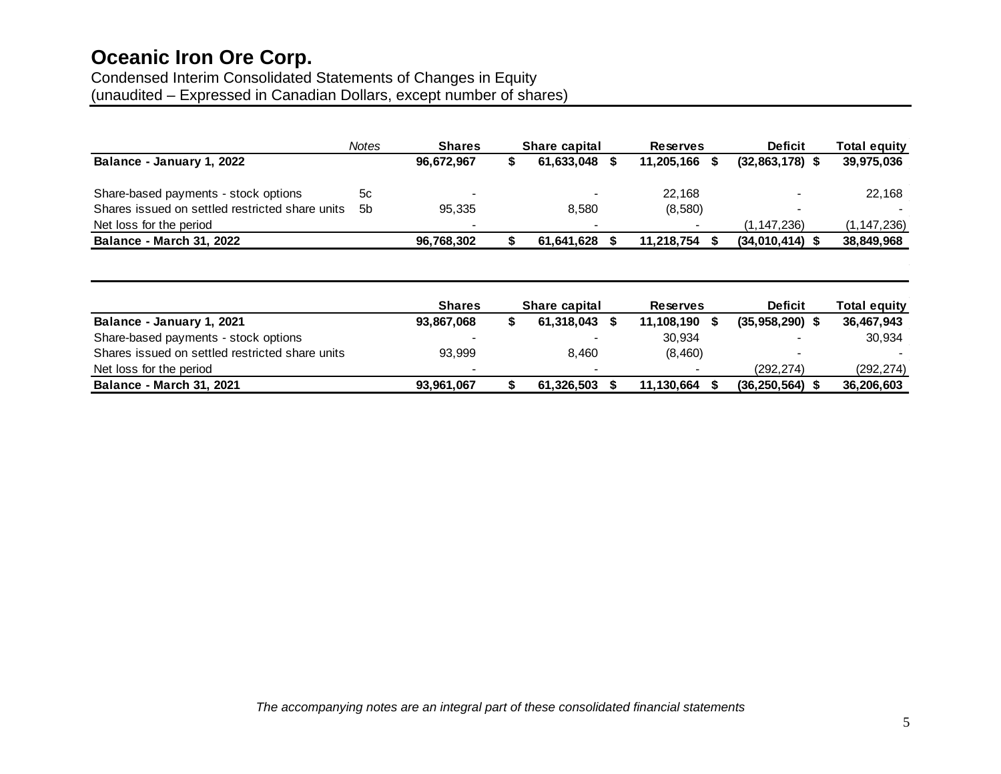# Condensed Interim Consolidated Statements of Changes in Equity

(unaudited – Expressed in Canadian Dollars, except number of shares)

| <b>Notes</b> | <b>Shares</b>            | <b>Share capital</b> | <b>Reserves</b>          | <b>Deficit</b>                 | Total equity  |
|--------------|--------------------------|----------------------|--------------------------|--------------------------------|---------------|
|              | 96,672,967               | 61,633,048           |                          | $(32,863,178)$ \$              | 39,975,036    |
| 5с           |                          |                      | 22,168                   |                                | 22,168        |
| .5b          | 95,335                   | 8,580                | (8,580)                  | $\,$                           |               |
|              | $\overline{\phantom{0}}$ |                      | $\overline{\phantom{0}}$ | (1, 147, 236)                  | (1, 147, 236) |
|              | 96,768,302               | 61.641.628           |                          | $(34,010,414)$ \$              | 38,849,968    |
|              |                          |                      |                          | 11,205,166 \$<br>11.218.754 \$ |               |

|                                                 | <b>Shares</b> | <b>Share capital</b> |  | <b>Reserves</b> | <b>Deficit</b> | <b>Total equity</b> |  |
|-------------------------------------------------|---------------|----------------------|--|-----------------|----------------|---------------------|--|
| Balance - January 1, 2021                       | 93,867,068    | 61.318.043           |  | 11.108.190      | (35,958,290)   | 36,467,943          |  |
| Share-based payments - stock options            |               |                      |  | 30,934          |                | 30,934              |  |
| Shares issued on settled restricted share units | 93.999        | 8.460                |  | (8,460)         |                |                     |  |
| Net loss for the period                         |               |                      |  |                 | (292.274)      | (292, 274)          |  |
| <b>Balance - March 31, 2021</b>                 | 93,961,067    | 61.326.503           |  | 11.130.664      | (36, 250, 564) | 36,206,603          |  |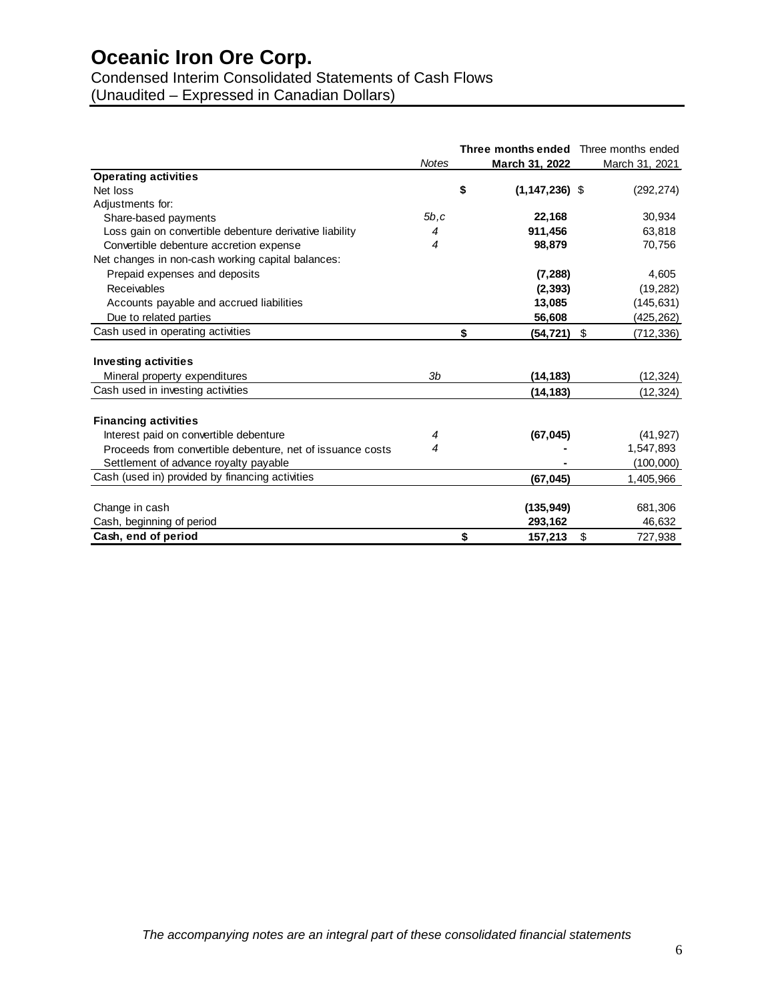Condensed Interim Consolidated Statements of Cash Flows

(Unaudited – Expressed in Canadian Dollars)

|                                                            |                | Three months ended Three months ended |                  |
|------------------------------------------------------------|----------------|---------------------------------------|------------------|
|                                                            | <b>Notes</b>   | March 31, 2022                        | March 31, 2021   |
| <b>Operating activities</b>                                |                |                                       |                  |
| Net loss                                                   |                | \$<br>$(1, 147, 236)$ \$              | (292, 274)       |
| Adjustments for:                                           |                |                                       |                  |
| Share-based payments                                       | 5b.c           | 22.168                                | 30,934           |
| Loss gain on convertible debenture derivative liability    | 4              | 911,456                               | 63,818           |
| Convertible debenture accretion expense                    | 4              | 98,879                                | 70,756           |
| Net changes in non-cash working capital balances:          |                |                                       |                  |
| Prepaid expenses and deposits                              |                | (7, 288)                              | 4,605            |
| Receivables                                                |                | (2, 393)                              | (19, 282)        |
| Accounts payable and accrued liabilities                   |                | 13,085                                | (145, 631)       |
| Due to related parties                                     |                | 56,608                                | (425, 262)       |
| Cash used in operating activities                          |                | \$<br>(54, 721)                       | \$<br>(712, 336) |
| <b>Investing activities</b>                                |                |                                       |                  |
| Mineral property expenditures                              | 3 <sub>b</sub> | (14, 183)                             | (12, 324)        |
| Cash used in investing activities                          |                | (14, 183)                             | (12, 324)        |
|                                                            |                |                                       |                  |
| <b>Financing activities</b>                                |                |                                       |                  |
| Interest paid on convertible debenture                     | 4              | (67, 045)                             | (41, 927)        |
| Proceeds from convertible debenture, net of issuance costs | 4              |                                       | 1,547,893        |
| Settlement of advance royalty payable                      |                |                                       | (100,000)        |
| Cash (used in) provided by financing activities            |                | (67, 045)                             | 1,405,966        |
|                                                            |                |                                       |                  |
| Change in cash                                             |                | (135, 949)                            | 681,306          |
| Cash, beginning of period                                  |                | 293,162                               | 46,632           |
| Cash, end of period                                        |                | \$<br>157,213                         | \$<br>727,938    |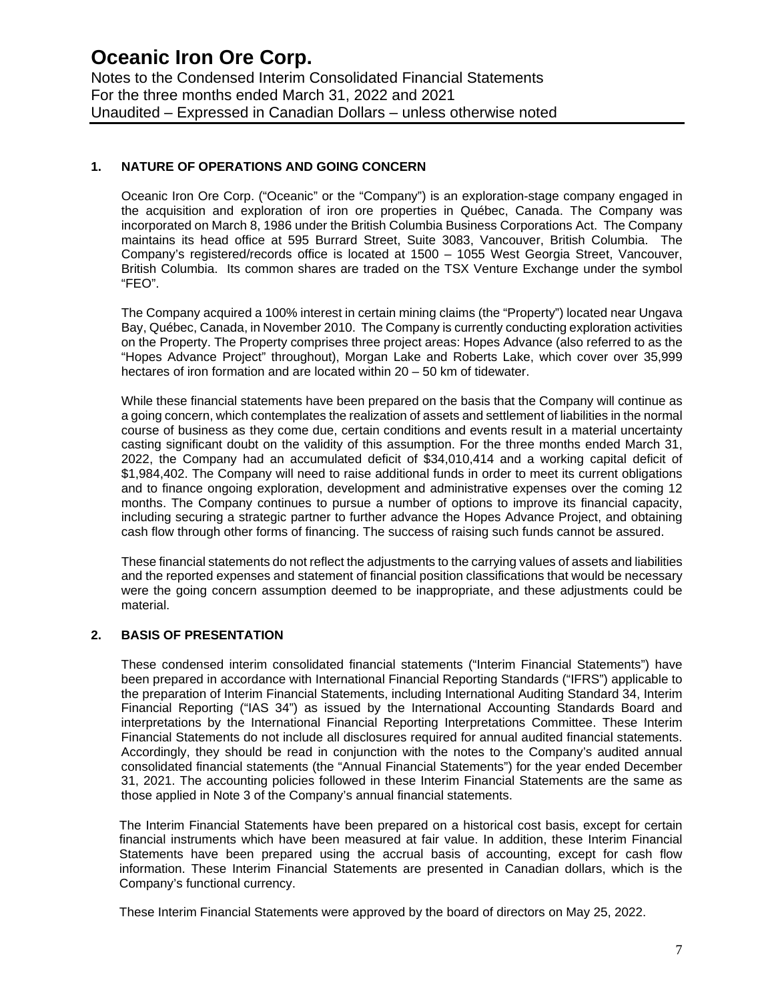Notes to the Condensed Interim Consolidated Financial Statements For the three months ended March 31, 2022 and 2021 Unaudited – Expressed in Canadian Dollars – unless otherwise noted

### **1. NATURE OF OPERATIONS AND GOING CONCERN**

Oceanic Iron Ore Corp. ("Oceanic" or the "Company") is an exploration-stage company engaged in the acquisition and exploration of iron ore properties in Québec, Canada. The Company was incorporated on March 8, 1986 under the British Columbia Business Corporations Act. The Company maintains its head office at 595 Burrard Street, Suite 3083, Vancouver, British Columbia. The Company's registered/records office is located at 1500 – 1055 West Georgia Street, Vancouver, British Columbia. Its common shares are traded on the TSX Venture Exchange under the symbol "FEO".

The Company acquired a 100% interest in certain mining claims (the "Property") located near Ungava Bay, Québec, Canada, in November 2010. The Company is currently conducting exploration activities on the Property. The Property comprises three project areas: Hopes Advance (also referred to as the "Hopes Advance Project" throughout), Morgan Lake and Roberts Lake, which cover over 35,999 hectares of iron formation and are located within 20 – 50 km of tidewater.

While these financial statements have been prepared on the basis that the Company will continue as a going concern, which contemplates the realization of assets and settlement of liabilities in the normal course of business as they come due, certain conditions and events result in a material uncertainty casting significant doubt on the validity of this assumption. For the three months ended March 31, 2022, the Company had an accumulated deficit of \$34,010,414 and a working capital deficit of \$1,984,402. The Company will need to raise additional funds in order to meet its current obligations and to finance ongoing exploration, development and administrative expenses over the coming 12 months. The Company continues to pursue a number of options to improve its financial capacity, including securing a strategic partner to further advance the Hopes Advance Project, and obtaining cash flow through other forms of financing. The success of raising such funds cannot be assured.

These financial statements do not reflect the adjustments to the carrying values of assets and liabilities and the reported expenses and statement of financial position classifications that would be necessary were the going concern assumption deemed to be inappropriate, and these adjustments could be material.

### **2. BASIS OF PRESENTATION**

These condensed interim consolidated financial statements ("Interim Financial Statements") have been prepared in accordance with International Financial Reporting Standards ("IFRS") applicable to the preparation of Interim Financial Statements, including International Auditing Standard 34, Interim Financial Reporting ("IAS 34") as issued by the International Accounting Standards Board and interpretations by the International Financial Reporting Interpretations Committee. These Interim Financial Statements do not include all disclosures required for annual audited financial statements. Accordingly, they should be read in conjunction with the notes to the Company's audited annual consolidated financial statements (the "Annual Financial Statements") for the year ended December 31, 2021. The accounting policies followed in these Interim Financial Statements are the same as those applied in Note 3 of the Company's annual financial statements.

The Interim Financial Statements have been prepared on a historical cost basis, except for certain financial instruments which have been measured at fair value. In addition, these Interim Financial Statements have been prepared using the accrual basis of accounting, except for cash flow information. These Interim Financial Statements are presented in Canadian dollars, which is the Company's functional currency.

These Interim Financial Statements were approved by the board of directors on May 25, 2022.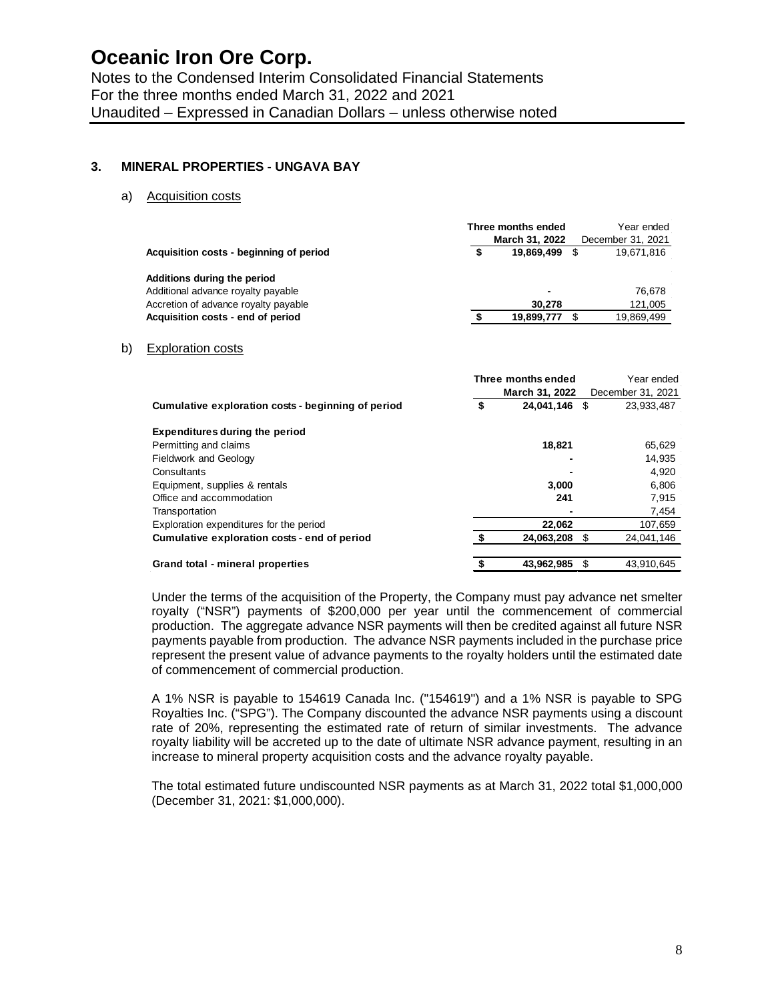### **3. MINERAL PROPERTIES - UNGAVA BAY**

a) Acquisition costs

|                                         | Three months ended |                          |  | Year ended        |
|-----------------------------------------|--------------------|--------------------------|--|-------------------|
|                                         |                    | March 31, 2022           |  | December 31, 2021 |
| Acquisition costs - beginning of period |                    | 19.869.499               |  | 19,671,816        |
| Additions during the period             |                    |                          |  |                   |
| Additional advance royalty payable      |                    | $\overline{\phantom{0}}$ |  | 76.678            |
| Accretion of advance royalty payable    |                    | 30.278                   |  | 121,005           |
| Acquisition costs - end of period       |                    | 19.899.777               |  | 19,869,499        |
|                                         |                    |                          |  |                   |

#### b) Exploration costs

|                                                    | Three months ended |                | Year ended        |
|----------------------------------------------------|--------------------|----------------|-------------------|
|                                                    |                    | March 31, 2022 | December 31, 2021 |
| Cumulative exploration costs - beginning of period | \$                 | 24,041,146     | 23,933,487        |
| <b>Expenditures during the period</b>              |                    |                |                   |
| Permitting and claims                              |                    | 18.821         | 65,629            |
| <b>Fieldwork and Geology</b>                       |                    | -              | 14,935            |
| Consultants                                        |                    |                | 4,920             |
| Equipment, supplies & rentals                      |                    | 3.000          | 6.806             |
| Office and accommodation                           |                    | 241            | 7.915             |
| Transportation                                     |                    |                | 7,454             |
| Exploration expenditures for the period            |                    | 22,062         | 107,659           |
| Cumulative exploration costs - end of period       |                    | 24,063,208     | 24,041,146        |
| Grand total - mineral properties                   |                    | 43.962.985     | 43,910,645        |

Under the terms of the acquisition of the Property, the Company must pay advance net smelter royalty ("NSR") payments of \$200,000 per year until the commencement of commercial production. The aggregate advance NSR payments will then be credited against all future NSR payments payable from production. The advance NSR payments included in the purchase price represent the present value of advance payments to the royalty holders until the estimated date of commencement of commercial production.

A 1% NSR is payable to 154619 Canada Inc. ("154619") and a 1% NSR is payable to SPG Royalties Inc. ("SPG"). The Company discounted the advance NSR payments using a discount rate of 20%, representing the estimated rate of return of similar investments. The advance royalty liability will be accreted up to the date of ultimate NSR advance payment, resulting in an increase to mineral property acquisition costs and the advance royalty payable.

The total estimated future undiscounted NSR payments as at March 31, 2022 total \$1,000,000 (December 31, 2021: \$1,000,000).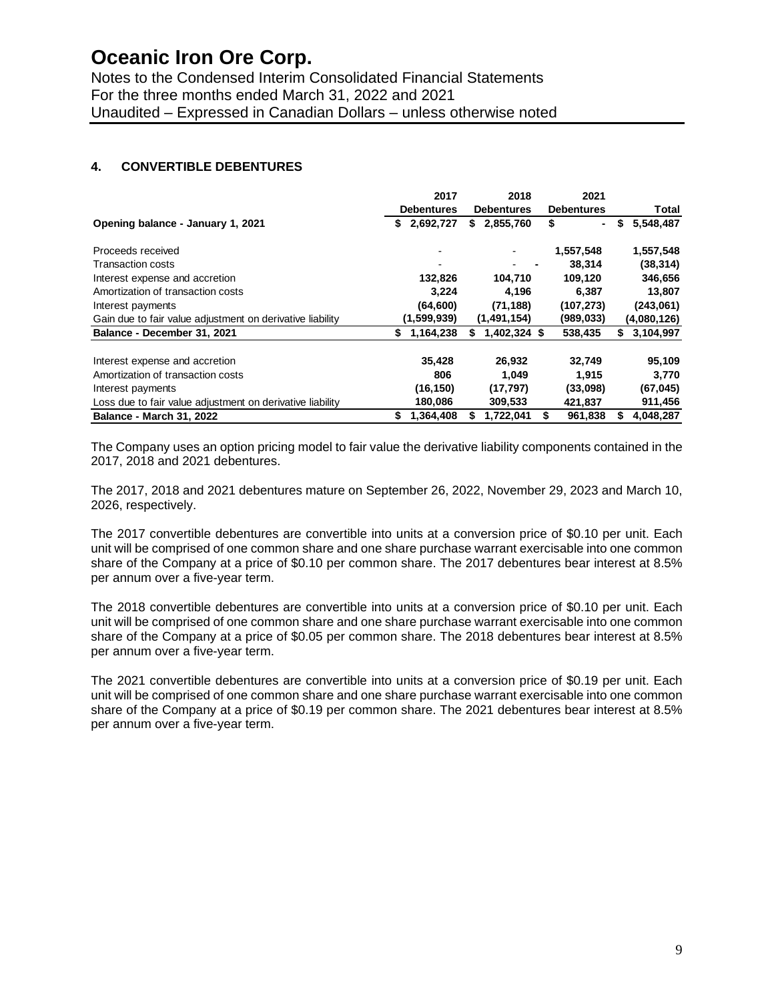Notes to the Condensed Interim Consolidated Financial Statements For the three months ended March 31, 2022 and 2021 Unaudited – Expressed in Canadian Dollars – unless otherwise noted

### **4. CONVERTIBLE DEBENTURES**

|                                                           | 2017              | 2018               | 2021              |                 |
|-----------------------------------------------------------|-------------------|--------------------|-------------------|-----------------|
|                                                           | <b>Debentures</b> | <b>Debentures</b>  | <b>Debentures</b> | Total           |
| Opening balance - January 1, 2021                         | 2,692,727<br>S.   | 2,855,760<br>S.    | \$<br>٠           | 5,548,487<br>\$ |
| Proceeds received                                         |                   |                    | 1,557,548         | 1,557,548       |
| <b>Transaction costs</b>                                  |                   |                    | 38,314            | (38, 314)       |
| Interest expense and accretion                            | 132,826           | 104,710            | 109.120           | 346,656         |
| Amortization of transaction costs                         | 3.224             | 4,196              | 6,387             | 13,807          |
| Interest payments                                         | (64, 600)         | (71, 188)          | (107, 273)        | (243,061)       |
| Gain due to fair value adjustment on derivative liability | (1,599,939)       | (1,491,154)        | (989, 033)        | (4,080,126)     |
| Balance - December 31, 2021                               | 1,164,238<br>S.   | 1,402,324 \$<br>S. | 538,435           | 3,104,997<br>S. |
| Interest expense and accretion                            | 35,428            | 26,932             | 32,749            | 95,109          |
| Amortization of transaction costs                         | 806               | 1,049              | 1,915             | 3,770           |
| Interest payments                                         | (16, 150)         | (17, 797)          | (33,098)          | (67, 045)       |
| Loss due to fair value adjustment on derivative liability | 180,086           | 309,533            | 421,837           | 911,456         |
| <b>Balance - March 31, 2022</b>                           | 1,364,408<br>S    | 1,722,041          | 961,838           | 4,048,287       |

The Company uses an option pricing model to fair value the derivative liability components contained in the 2017, 2018 and 2021 debentures.

The 2017, 2018 and 2021 debentures mature on September 26, 2022, November 29, 2023 and March 10, 2026, respectively.

The 2017 convertible debentures are convertible into units at a conversion price of \$0.10 per unit. Each unit will be comprised of one common share and one share purchase warrant exercisable into one common share of the Company at a price of \$0.10 per common share. The 2017 debentures bear interest at 8.5% per annum over a five-year term.

The 2018 convertible debentures are convertible into units at a conversion price of \$0.10 per unit. Each unit will be comprised of one common share and one share purchase warrant exercisable into one common share of the Company at a price of \$0.05 per common share. The 2018 debentures bear interest at 8.5% per annum over a five-year term.

The 2021 convertible debentures are convertible into units at a conversion price of \$0.19 per unit. Each unit will be comprised of one common share and one share purchase warrant exercisable into one common share of the Company at a price of \$0.19 per common share. The 2021 debentures bear interest at 8.5% per annum over a five-year term.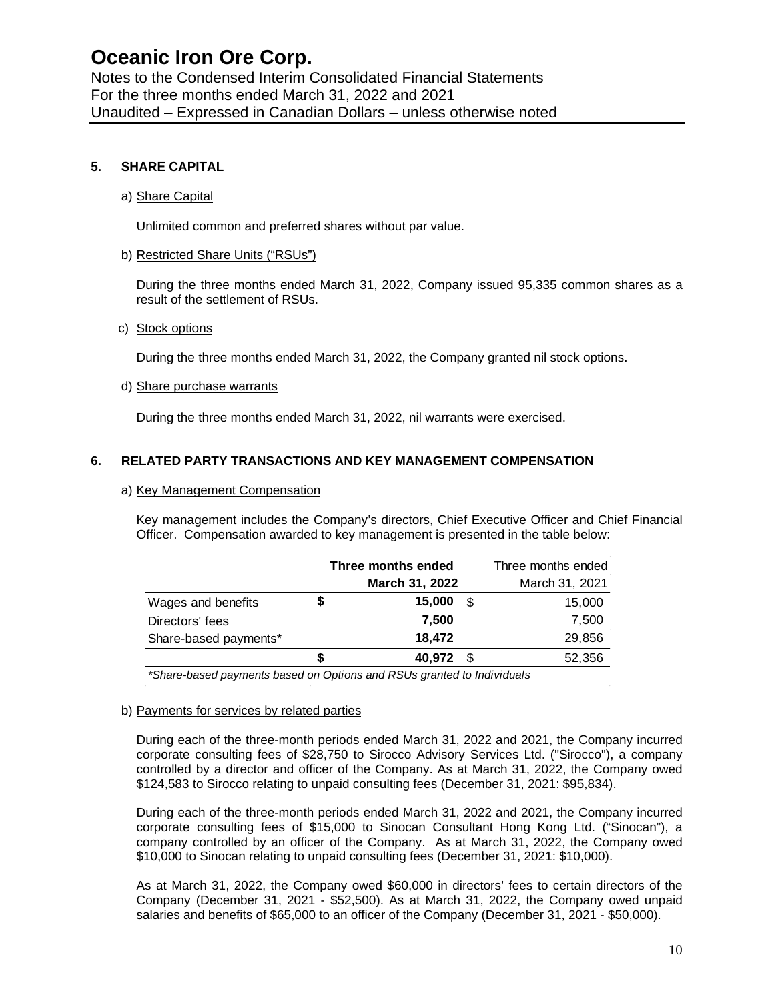Notes to the Condensed Interim Consolidated Financial Statements For the three months ended March 31, 2022 and 2021 Unaudited – Expressed in Canadian Dollars – unless otherwise noted

### **5. SHARE CAPITAL**

### a) Share Capital

Unlimited common and preferred shares without par value.

### b) Restricted Share Units ("RSUs")

During the three months ended March 31, 2022, Company issued 95,335 common shares as a result of the settlement of RSUs.

#### c) Stock options

During the three months ended March 31, 2022, the Company granted nil stock options.

### d) Share purchase warrants

During the three months ended March 31, 2022, nil warrants were exercised.

### **6. RELATED PARTY TRANSACTIONS AND KEY MANAGEMENT COMPENSATION**

#### a) Key Management Compensation

Key management includes the Company's directors, Chief Executive Officer and Chief Financial Officer. Compensation awarded to key management is presented in the table below:

|                       |    | Three months ended |      | Three months ended |
|-----------------------|----|--------------------|------|--------------------|
|                       |    | March 31, 2022     |      | March 31, 2021     |
| Wages and benefits    | \$ | 15,000             | £.   | 15,000             |
| Directors' fees       |    | 7,500              |      | 7,500              |
| Share-based payments* |    | 18,472             |      | 29,856             |
|                       | S  | 40,972             | - \$ | 52,356             |
|                       |    |                    |      |                    |

*\*Share-based payments based on Options and RSUs granted to Individuals*

#### b) Payments for services by related parties

During each of the three-month periods ended March 31, 2022 and 2021, the Company incurred corporate consulting fees of \$28,750 to Sirocco Advisory Services Ltd. ("Sirocco"), a company controlled by a director and officer of the Company. As at March 31, 2022, the Company owed \$124,583 to Sirocco relating to unpaid consulting fees (December 31, 2021: \$95,834).

During each of the three-month periods ended March 31, 2022 and 2021, the Company incurred corporate consulting fees of \$15,000 to Sinocan Consultant Hong Kong Ltd. ("Sinocan"), a company controlled by an officer of the Company. As at March 31, 2022, the Company owed \$10,000 to Sinocan relating to unpaid consulting fees (December 31, 2021: \$10,000).

As at March 31, 2022, the Company owed \$60,000 in directors' fees to certain directors of the Company (December 31, 2021 - \$52,500). As at March 31, 2022, the Company owed unpaid salaries and benefits of \$65,000 to an officer of the Company (December 31, 2021 - \$50,000).